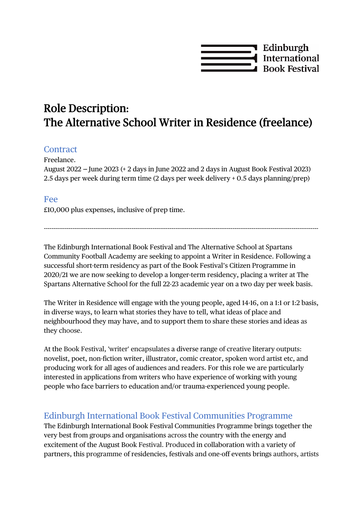

# Role Description: The Alternative School Writer in Residence (freelance)

#### **Contract**

Freelance.

August  $2022$  – June  $2023$  (+ 2 days in June 2022 and 2 days in August Book Festival 2023) 2.5 days per week during term time (2 days per week delivery + 0.5 days planning/prep)

#### Fee

£10,000 plus expenses, inclusive of prep time.

The Edinburgh International Book Festival and The Alternative School at Spartans Community Football Academy are seeking to appoint a Writer in Residence. Following a successful short-term residency as part of the Book Festival's Citizen Programme in 2020/21 we are now seeking to develop a longer-term residency, placing a writer at The Spartans Alternative School for the full 22-23 academic year on a two day per week basis.

------------------------------------------------------------------------------------------------------------------------------------------------

The Writer in Residence will engage with the young people, aged 14-16, on a 1:1 or 1:2 basis, in diverse ways, to learn what stories they have to tell, what ideas of place and neighbourhood they may have, and to support them to share these stories and ideas as they choose.

At the Book Festival, 'writer' encapsulates a diverse range of creative literary outputs: novelist, poet, non-fiction writer, illustrator, comic creator, spoken word artist etc, and producing work for all ages of audiences and readers. For this role we are particularly interested in applications from writers who have experience of working with young people who face barriers to education and/or trauma-experienced young people.

#### Edinburgh International Book Festival Communities Programme

The Edinburgh International Book Festival Communities Programme brings together the very best from groups and organisations across the country with the energy and excitement of the August Book Festival. Produced in collaboration with a variety of partners, this programme of residencies, festivals and one-off events brings authors, artists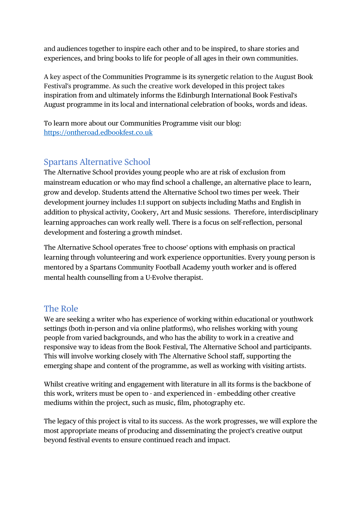and audiences together to inspire each other and to be inspired, to share stories and experiences, and bring books to life for people of all ages in their own communities.

A key aspect of the Communities Programme is its synergetic relation to the August Book Festival's programme. As such the creative work developed in this project takes inspiration from and ultimately informs the Edinburgh International Book Festival's August programme in its local and international celebration of books, words and ideas.

To learn more about our Communities Programme visit our blog: [https://ontheroad.edbookfest.co.uk](https://ontheroad.edbookfest.co.uk/)

## Spartans Alternative School

The Alternative School provides young people who are at risk of exclusion from mainstream education or who may find school a challenge, an alternative place to learn, grow and develop. Students attend the Alternative School two times per week. Their development journey includes 1:1 support on subjects including Maths and English in addition to physical activity, Cookery, Art and Music sessions. Therefore, interdisciplinary learning approaches can work really well. There is a focus on self-reflection, personal development and fostering a growth mindset.

The Alternative School operates 'free to choose' options with emphasis on practical learning through volunteering and work experience opportunities. Every young person is mentored by a Spartans Community Football Academy youth worker and is offered mental health counselling from a U-Evolve therapist.

#### The Role

We are seeking a writer who has experience of working within educational or youthwork settings (both in-person and via online platforms), who relishes working with young people from varied backgrounds, and who has the ability to work in a creative and responsive way to ideas from the Book Festival, The Alternative School and participants. This will involve working closely with The Alternative School staff, supporting the emerging shape and content of the programme, as well as working with visiting artists.

Whilst creative writing and engagement with literature in all its forms is the backbone of this work, writers must be open to - and experienced in - embedding other creative mediums within the project, such as music, film, photography etc.

The legacy of this project is vital to its success. As the work progresses, we will explore the most appropriate means of producing and disseminating the project's creative output beyond festival events to ensure continued reach and impact.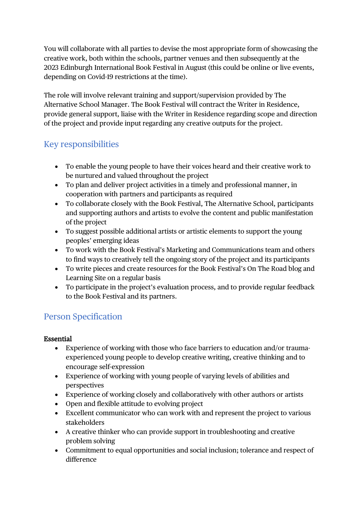You will collaborate with all parties to devise the most appropriate form of showcasing the creative work, both within the schools, partner venues and then subsequently at the 2023 Edinburgh International Book Festival in August (this could be online or live events, depending on Covid-19 restrictions at the time).

The role will involve relevant training and support/supervision provided by The Alternative School Manager. The Book Festival will contract the Writer in Residence, provide general support, liaise with the Writer in Residence regarding scope and direction of the project and provide input regarding any creative outputs for the project.

## Key responsibilities

- To enable the young people to have their voices heard and their creative work to be nurtured and valued throughout the project
- To plan and deliver project activities in a timely and professional manner, in cooperation with partners and participants as required
- To collaborate closely with the Book Festival, The Alternative School, participants and supporting authors and artists to evolve the content and public manifestation of the project
- To suggest possible additional artists or artistic elements to support the young peoples' emerging ideas
- To work with the Book Festival's Marketing and Communications team and others to find ways to creatively tell the ongoing story of the project and its participants
- To write pieces and create resources for the Book Festival's On The Road blog and Learning Site on a regular basis
- To participate in the project's evaluation process, and to provide regular feedback to the Book Festival and its partners.

## Person Specification

#### Essential

- Experience of working with those who face barriers to education and/or traumaexperienced young people to develop creative writing, creative thinking and to encourage self-expression
- Experience of working with young people of varying levels of abilities and perspectives
- Experience of working closely and collaboratively with other authors or artists
- Open and flexible attitude to evolving project
- Excellent communicator who can work with and represent the project to various stakeholders
- A creative thinker who can provide support in troubleshooting and creative problem solving
- Commitment to equal opportunities and social inclusion; tolerance and respect of difference